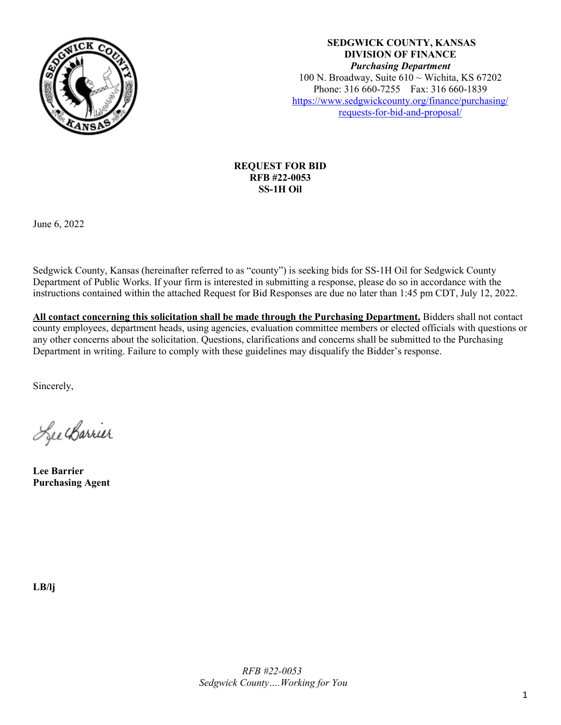

**SEDGWICK COUNTY, KANSAS DIVISION OF FINANCE** *Purchasing Department* 100 N. Broadway, Suite 610 ~ Wichita, KS 67202 Phone: 316 660-7255 Fax: 316 660-1839 [https://www.sedgwickcounty.org/finance/purchasing/](https://www.sedgwickcounty.org/finance/purchasing/requests-for-bid-and-proposal/)  [requests-for-bid-and-proposal/](https://www.sedgwickcounty.org/finance/purchasing/requests-for-bid-and-proposal/)

## **REQUEST FOR BID RFB #22-0053 SS-1H Oil**

June 6, 2022

Sedgwick County, Kansas (hereinafter referred to as "county") is seeking bids for SS-1H Oil for Sedgwick County Department of Public Works. If your firm is interested in submitting a response, please do so in accordance with the instructions contained within the attached Request for Bid Responses are due no later than 1:45 pm CDT, July 12, 2022.

**All contact concerning this solicitation shall be made through the Purchasing Department.** Bidders shall not contact county employees, department heads, using agencies, evaluation committee members or elected officials with questions or any other concerns about the solicitation. Questions, clarifications and concerns shall be submitted to the Purchasing Department in writing. Failure to comply with these guidelines may disqualify the Bidder's response.

Sincerely,

Lee Charrier

**Lee Barrier Purchasing Agent**

**LB/lj**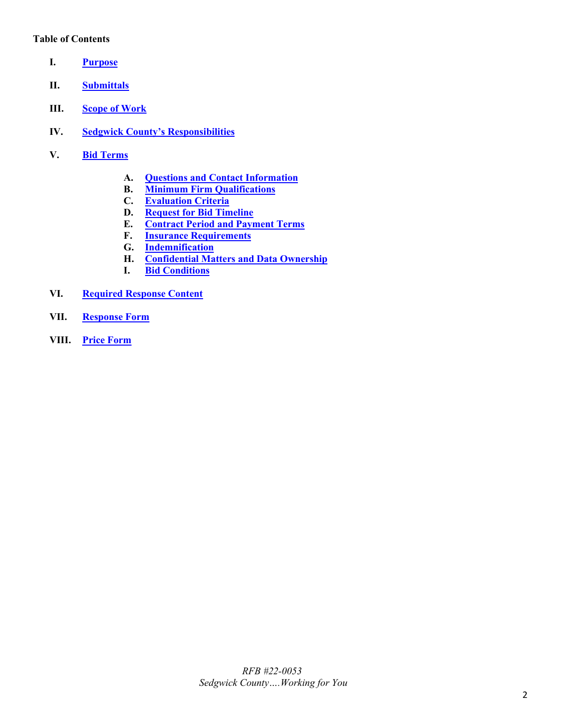## **Table of Contents**

- <span id="page-1-0"></span>**I. [Purpose](#page-2-0)**
- <span id="page-1-1"></span>**II. [Submittals](#page-2-1)**
- <span id="page-1-2"></span>**III. [Scope of Work](#page-2-2)**
- <span id="page-1-3"></span>**IV. [Sedgwick County's Responsibilities](#page-2-3)**
- <span id="page-1-9"></span><span id="page-1-8"></span><span id="page-1-7"></span><span id="page-1-6"></span><span id="page-1-5"></span><span id="page-1-4"></span>**V. Bid [Terms](#page-2-4)**
	- **A. [Questions and Contact Information](#page-2-5)**
	- **B. [Minimum Firm Qualifications](#page-2-6)**
	- **C. [Evaluation Criteria](#page-3-0)**
	- **D. [Request for Bid](#page-3-1) Timeline**
	- **E. [Contract Period and Payment Terms](#page-3-2)**
	- **F. [Insurance Requirements](#page-3-3)**
	- **G. [Indemnification](#page-4-0)**
	- **H. [Confidential Matters and Data Ownership](#page-4-1)**
	- **I. [Bid Conditions](#page-5-0)**
- <span id="page-1-14"></span><span id="page-1-13"></span><span id="page-1-12"></span><span id="page-1-11"></span><span id="page-1-10"></span>**VI. [Required Response Content](#page-5-1)**
- <span id="page-1-15"></span>**VII. [Response Form](#page-6-0)**
- <span id="page-1-16"></span>**VIII. [Price Form](#page-8-0)**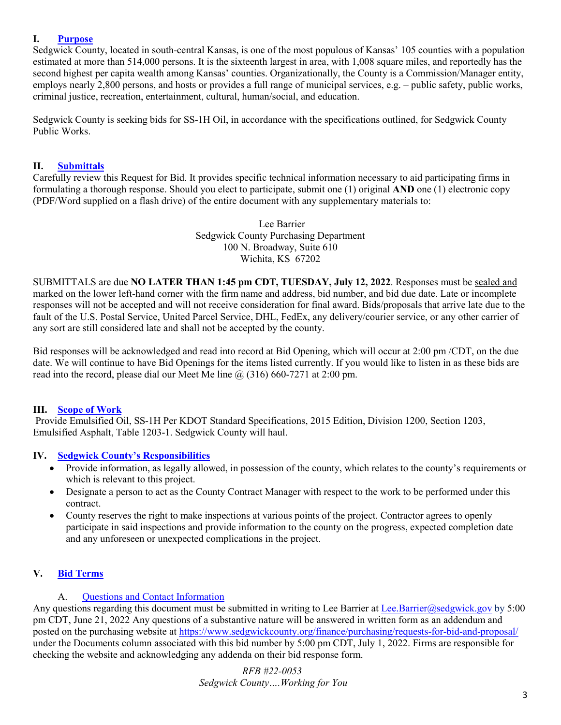## <span id="page-2-0"></span>**I. [Purpose](#page-1-0)**

Sedgwick County, located in south-central Kansas, is one of the most populous of Kansas' 105 counties with a population estimated at more than 514,000 persons. It is the sixteenth largest in area, with 1,008 square miles, and reportedly has the second highest per capita wealth among Kansas' counties. Organizationally, the County is a Commission/Manager entity, employs nearly 2,800 persons, and hosts or provides a full range of municipal services, e.g. – public safety, public works, criminal justice, recreation, entertainment, cultural, human/social, and education.

Sedgwick County is seeking bids for SS-1H Oil, in accordance with the specifications outlined, for Sedgwick County Public Works.

### <span id="page-2-1"></span>**II. [Submittals](#page-1-1)**

Carefully review this Request for Bid. It provides specific technical information necessary to aid participating firms in formulating a thorough response. Should you elect to participate, submit one (1) original **AND** one (1) electronic copy (PDF/Word supplied on a flash drive) of the entire document with any supplementary materials to:

> Lee Barrier Sedgwick County Purchasing Department 100 N. Broadway, Suite 610 Wichita, KS 67202

SUBMITTALS are due **NO LATER THAN 1:45 pm CDT, TUESDAY, July 12, 2022**. Responses must be sealed and marked on the lower left-hand corner with the firm name and address, bid number, and bid due date. Late or incomplete responses will not be accepted and will not receive consideration for final award. Bids/proposals that arrive late due to the fault of the U.S. Postal Service, United Parcel Service, DHL, FedEx, any delivery/courier service, or any other carrier of any sort are still considered late and shall not be accepted by the county.

Bid responses will be acknowledged and read into record at Bid Opening, which will occur at 2:00 pm /CDT, on the due date. We will continue to have Bid Openings for the items listed currently. If you would like to listen in as these bids are read into the record, please dial our Meet Me line  $\omega$  (316) 660-7271 at 2:00 pm.

### <span id="page-2-2"></span>**III. [Scope of Work](#page-1-2)**

Provide Emulsified Oil, SS-1H Per KDOT Standard Specifications, 2015 Edition, Division 1200, Section 1203, Emulsified Asphalt, Table 1203-1. Sedgwick County will haul.

### <span id="page-2-3"></span>**IV. [Sedgwick County's Responsibilities](#page-1-3)**

- Provide information, as legally allowed, in possession of the county, which relates to the county's requirements or which is relevant to this project.
- Designate a person to act as the County Contract Manager with respect to the work to be performed under this contract.
- County reserves the right to make inspections at various points of the project. Contractor agrees to openly participate in said inspections and provide information to the county on the progress, expected completion date and any unforeseen or unexpected complications in the project.

## <span id="page-2-4"></span>**V. Bid [Terms](#page-1-4)**

### A. [Questions and Contact Information](#page-1-5)

<span id="page-2-5"></span>Any questions regarding this document must be submitted in writing to Lee Barrier at [Lee.Barrier@sedgwick.gov](mailto:Lee.Barrier@sedgwick.gov) by 5:00 pm CDT, June 21, 2022 Any questions of a substantive nature will be answered in written form as an addendum and posted on the purchasing website at<https://www.sedgwickcounty.org/finance/purchasing/requests-for-bid-and-proposal/> under the Documents column associated with this bid number by 5:00 pm CDT, July 1, 2022. Firms are responsible for checking the website and acknowledging any addenda on their bid response form.

> <span id="page-2-6"></span>*RFB #22-0053 Sedgwick County….Working for You*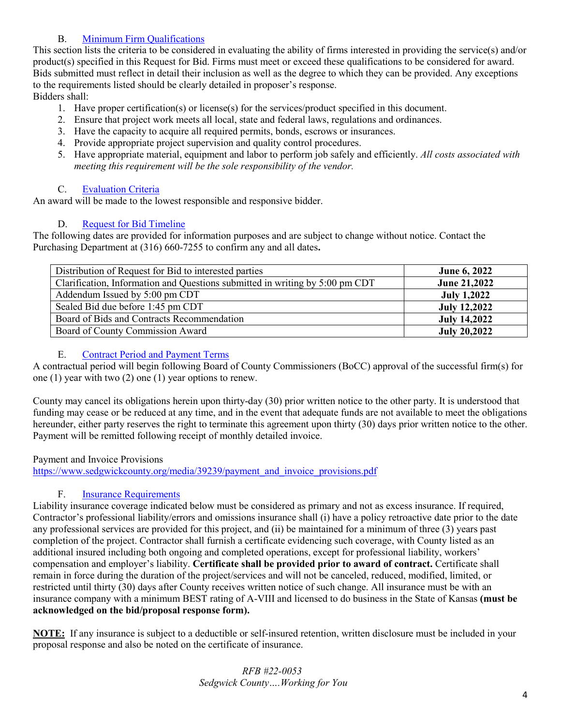# B. [Minimum Firm Qualifications](#page-1-6)

This section lists the criteria to be considered in evaluating the ability of firms interested in providing the service(s) and/or product(s) specified in this Request for Bid. Firms must meet or exceed these qualifications to be considered for award. Bids submitted must reflect in detail their inclusion as well as the degree to which they can be provided. Any exceptions to the requirements listed should be clearly detailed in proposer's response.

Bidders shall:

- 1. Have proper certification(s) or license(s) for the services/product specified in this document.
- 2. Ensure that project work meets all local, state and federal laws, regulations and ordinances.
- 3. Have the capacity to acquire all required permits, bonds, escrows or insurances.
- 4. Provide appropriate project supervision and quality control procedures.
- 5. Have appropriate material, equipment and labor to perform job safely and efficiently. *All costs associated with meeting this requirement will be the sole responsibility of the vendor.*

# C. [Evaluation Criteria](#page-1-7)

<span id="page-3-0"></span>An award will be made to the lowest responsible and responsive bidder.

# D. [Request for Bid](#page-1-8) Timeline

<span id="page-3-1"></span>The following dates are provided for information purposes and are subject to change without notice. Contact the Purchasing Department at (316) 660-7255 to confirm any and all dates**.** 

| Distribution of Request for Bid to interested parties                        | <b>June 6, 2022</b> |
|------------------------------------------------------------------------------|---------------------|
| Clarification, Information and Questions submitted in writing by 5:00 pm CDT | June 21,2022        |
| Addendum Issued by 5:00 pm CDT                                               | <b>July 1,2022</b>  |
| Sealed Bid due before 1:45 pm CDT                                            | <b>July 12,2022</b> |
| Board of Bids and Contracts Recommendation                                   | <b>July 14,2022</b> |
| Board of County Commission Award                                             | <b>July 20,2022</b> |

## E. [Contract Period and Payment Terms](#page-1-9)

<span id="page-3-2"></span>A contractual period will begin following Board of County Commissioners (BoCC) approval of the successful firm(s) for one (1) year with two (2) one (1) year options to renew.

County may cancel its obligations herein upon thirty-day (30) prior written notice to the other party. It is understood that funding may cease or be reduced at any time, and in the event that adequate funds are not available to meet the obligations hereunder, either party reserves the right to terminate this agreement upon thirty (30) days prior written notice to the other. Payment will be remitted following receipt of monthly detailed invoice.

## Payment and Invoice Provisions

[https://www.sedgwickcounty.org/media/39239/payment\\_and\\_invoice\\_provisions.pdf](https://www.sedgwickcounty.org/media/39239/payment_and_invoice_provisions.pdf)

## F. [Insurance Requirements](#page-1-10)

<span id="page-3-3"></span>Liability insurance coverage indicated below must be considered as primary and not as excess insurance. If required, Contractor's professional liability/errors and omissions insurance shall (i) have a policy retroactive date prior to the date any professional services are provided for this project, and (ii) be maintained for a minimum of three (3) years past completion of the project. Contractor shall furnish a certificate evidencing such coverage, with County listed as an additional insured including both ongoing and completed operations, except for professional liability, workers' compensation and employer's liability. **Certificate shall be provided prior to award of contract.** Certificate shall remain in force during the duration of the project/services and will not be canceled, reduced, modified, limited, or restricted until thirty (30) days after County receives written notice of such change. All insurance must be with an insurance company with a minimum BEST rating of A-VIII and licensed to do business in the State of Kansas **(must be acknowledged on the bid/proposal response form).**

**NOTE:** If any insurance is subject to a deductible or self-insured retention, written disclosure must be included in your proposal response and also be noted on the certificate of insurance.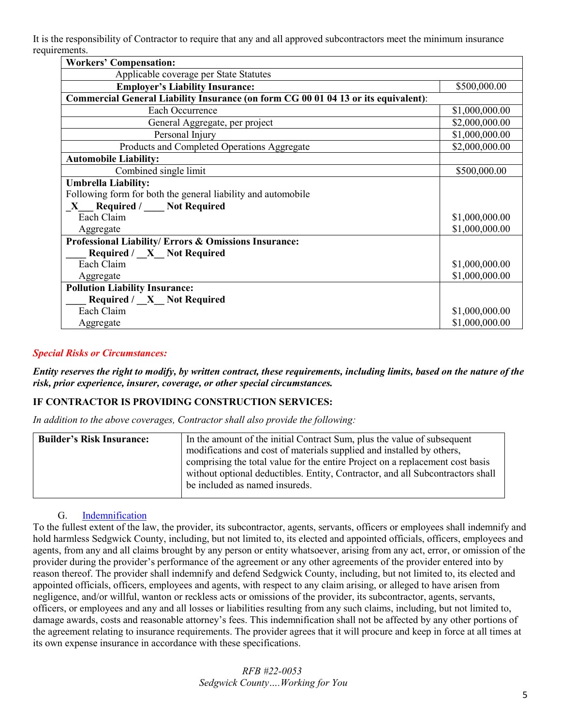It is the responsibility of Contractor to require that any and all approved subcontractors meet the minimum insurance requirements.

| <b>Workers' Compensation:</b>                                                      |                |  |  |
|------------------------------------------------------------------------------------|----------------|--|--|
| Applicable coverage per State Statutes                                             |                |  |  |
| <b>Employer's Liability Insurance:</b>                                             | \$500,000.00   |  |  |
| Commercial General Liability Insurance (on form CG 00 01 04 13 or its equivalent): |                |  |  |
| Each Occurrence                                                                    | \$1,000,000.00 |  |  |
| General Aggregate, per project                                                     | \$2,000,000.00 |  |  |
| Personal Injury                                                                    | \$1,000,000.00 |  |  |
| Products and Completed Operations Aggregate                                        | \$2,000,000.00 |  |  |
| <b>Automobile Liability:</b>                                                       |                |  |  |
| Combined single limit                                                              | \$500,000.00   |  |  |
| <b>Umbrella Liability:</b>                                                         |                |  |  |
| Following form for both the general liability and automobile                       |                |  |  |
| X Required / Not Required                                                          |                |  |  |
| Each Claim                                                                         | \$1,000,000.00 |  |  |
| Aggregate                                                                          | \$1,000,000.00 |  |  |
| Professional Liability/ Errors & Omissions Insurance:                              |                |  |  |
| Required / X Not Required                                                          |                |  |  |
| Each Claim                                                                         | \$1,000,000.00 |  |  |
| Aggregate                                                                          | \$1,000,000.00 |  |  |
| <b>Pollution Liability Insurance:</b>                                              |                |  |  |
| Required / X Not Required                                                          |                |  |  |
| Each Claim                                                                         | \$1,000,000.00 |  |  |
| Aggregate                                                                          | \$1,000,000.00 |  |  |

## *Special Risks or Circumstances:*

*Entity reserves the right to modify, by written contract, these requirements, including limits, based on the nature of the risk, prior experience, insurer, coverage, or other special circumstances.*

### **IF CONTRACTOR IS PROVIDING CONSTRUCTION SERVICES:**

*In addition to the above coverages, Contractor shall also provide the following:*

| <b>Builder's Risk Insurance:</b> | In the amount of the initial Contract Sum, plus the value of subsequent        |  |  |
|----------------------------------|--------------------------------------------------------------------------------|--|--|
|                                  | modifications and cost of materials supplied and installed by others,          |  |  |
|                                  | comprising the total value for the entire Project on a replacement cost basis  |  |  |
|                                  | without optional deductibles. Entity, Contractor, and all Subcontractors shall |  |  |
|                                  | be included as named insureds.                                                 |  |  |
|                                  |                                                                                |  |  |

### <span id="page-4-1"></span>G. [Indemnification](#page-1-11)

<span id="page-4-0"></span>To the fullest extent of the law, the provider, its subcontractor, agents, servants, officers or employees shall indemnify and hold harmless Sedgwick County, including, but not limited to, its elected and appointed officials, officers, employees and agents, from any and all claims brought by any person or entity whatsoever, arising from any act, error, or omission of the provider during the provider's performance of the agreement or any other agreements of the provider entered into by reason thereof. The provider shall indemnify and defend Sedgwick County, including, but not limited to, its elected and appointed officials, officers, employees and agents, with respect to any claim arising, or alleged to have arisen from negligence, and/or willful, wanton or reckless acts or omissions of the provider, its subcontractor, agents, servants, officers, or employees and any and all losses or liabilities resulting from any such claims, including, but not limited to, damage awards, costs and reasonable attorney's fees. This indemnification shall not be affected by any other portions of the agreement relating to insurance requirements. The provider agrees that it will procure and keep in force at all times at its own expense insurance in accordance with these specifications.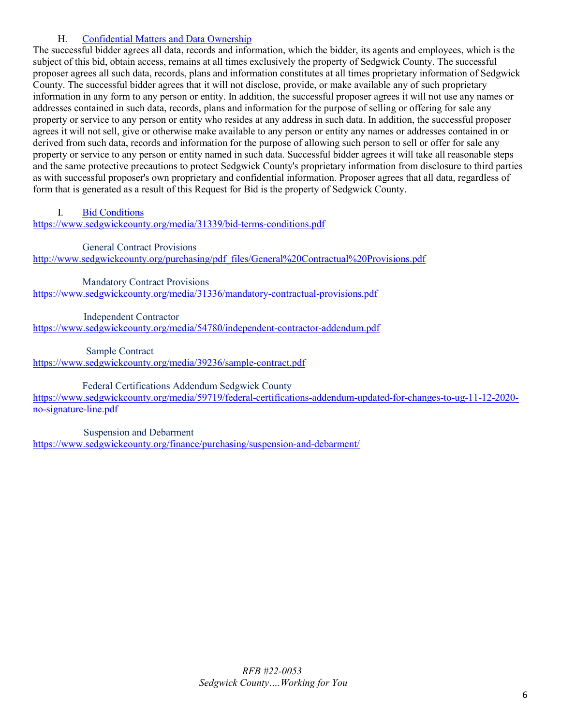# H. [Confidential Matters and Data Ownership](#page-1-12)

The successful bidder agrees all data, records and information, which the bidder, its agents and employees, which is the subject of this bid, obtain access, remains at all times exclusively the property of Sedgwick County. The successful proposer agrees all such data, records, plans and information constitutes at all times proprietary information of Sedgwick County. The successful bidder agrees that it will not disclose, provide, or make available any of such proprietary information in any form to any person or entity. In addition, the successful proposer agrees it will not use any names or addresses contained in such data, records, plans and information for the purpose of selling or offering for sale any property or service to any person or entity who resides at any address in such data. In addition, the successful proposer agrees it will not sell, give or otherwise make available to any person or entity any names or addresses contained in or derived from such data, records and information for the purpose of allowing such person to sell or offer for sale any property or service to any person or entity named in such data. Successful bidder agrees it will take all reasonable steps and the same protective precautions to protect Sedgwick County's proprietary information from disclosure to third parties as with successful proposer's own proprietary and confidential information. Proposer agrees that all data, regardless of form that is generated as a result of this Request for Bid is the property of Sedgwick County.

<span id="page-5-0"></span>I. [Bid Conditions](#page-1-13)

<https://www.sedgwickcounty.org/media/31339/bid-terms-conditions.pdf>

General Contract Provisions

http://www.sedgwickcounty.org/purchasing/pdf\_files/General%20Contractual%20Provisions.pdf

 Mandatory Contract Provisions <https://www.sedgwickcounty.org/media/31336/mandatory-contractual-provisions.pdf>

 Independent Contractor <https://www.sedgwickcounty.org/media/54780/independent-contractor-addendum.pdf>

Sample Contract

<https://www.sedgwickcounty.org/media/39236/sample-contract.pdf>

Federal Certifications Addendum Sedgwick County [https://www.sedgwickcounty.org/media/59719/federal-certifications-addendum-updated-for-changes-to-ug-11-12-2020-](https://www.sedgwickcounty.org/media/59719/federal-certifications-addendum-updated-for-changes-to-ug-11-12-2020-no-signature-line.pdf)

[no-signature-line.pdf](https://www.sedgwickcounty.org/media/59719/federal-certifications-addendum-updated-for-changes-to-ug-11-12-2020-no-signature-line.pdf)

<span id="page-5-1"></span> Suspension and Debarment <https://www.sedgwickcounty.org/finance/purchasing/suspension-and-debarment/>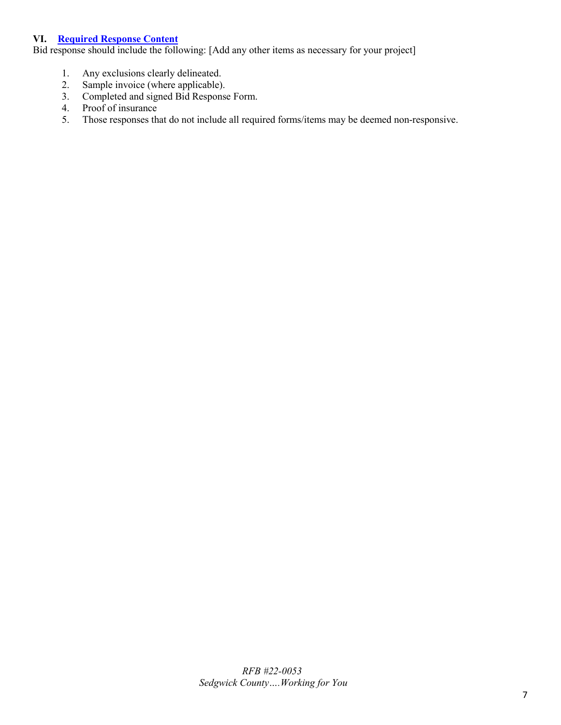### **VI. [Required Response Content](#page-1-14)**

Bid response should include the following: [Add any other items as necessary for your project]

- 1. Any exclusions clearly delineated.
- 2. Sample invoice (where applicable).<br>3. Completed and signed Bid Response
- Completed and signed Bid Response Form.
- 4. Proof of insurance
- <span id="page-6-0"></span>5. Those responses that do not include all required forms/items may be deemed non-responsive.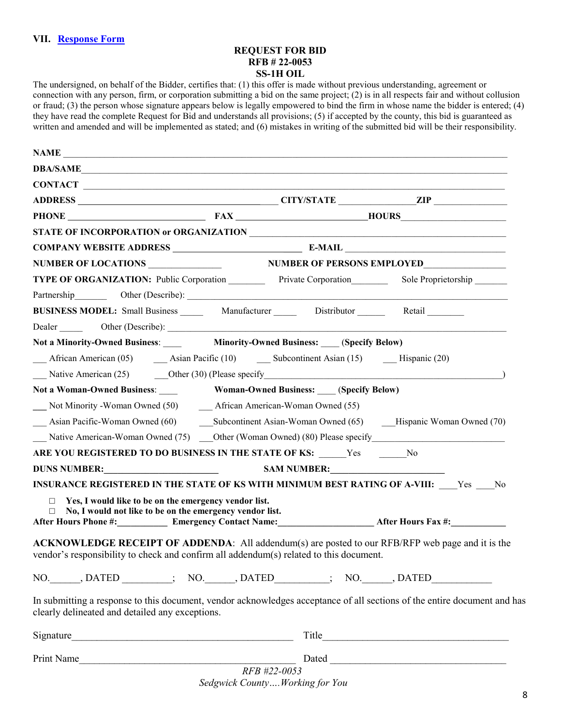#### **REQUEST FOR BID RFB # 22-0053 SS-1H OIL**

The undersigned, on behalf of the Bidder, certifies that: (1) this offer is made without previous understanding, agreement or connection with any person, firm, or corporation submitting a bid on the same project; (2) is in all respects fair and without collusion or fraud; (3) the person whose signature appears below is legally empowered to bind the firm in whose name the bidder is entered; (4) they have read the complete Request for Bid and understands all provisions; (5) if accepted by the county, this bid is guaranteed as written and amended and will be implemented as stated; and (6) mistakes in writing of the submitted bid will be their responsibility.

| NAME                                                                                                                                                                                                                                        |  |
|---------------------------------------------------------------------------------------------------------------------------------------------------------------------------------------------------------------------------------------------|--|
| DBA/SAME                                                                                                                                                                                                                                    |  |
|                                                                                                                                                                                                                                             |  |
|                                                                                                                                                                                                                                             |  |
| PHONE FAX HOURS                                                                                                                                                                                                                             |  |
|                                                                                                                                                                                                                                             |  |
|                                                                                                                                                                                                                                             |  |
|                                                                                                                                                                                                                                             |  |
| TYPE OF ORGANIZATION: Public Corporation Private Corporation Sole Proprietorship                                                                                                                                                            |  |
|                                                                                                                                                                                                                                             |  |
| BUSINESS MODEL: Small Business ________ Manufacturer _________ Distributor _______ Retail ________                                                                                                                                          |  |
|                                                                                                                                                                                                                                             |  |
|                                                                                                                                                                                                                                             |  |
| African American (05) <b>Assume Assume 2014 Subcontinent Assume 15 Assume 20 Assume 20 Assume 20 Subcontinent Assume 15 16 16 16 16 16 16 16 16 16</b>                                                                                      |  |
| Native American (25) Other (30) (Please specify and the state of the state of the state of the state of the state of the state of the state of the state of the state of the state of the state of the state of the state of t              |  |
| Not a Woman-Owned Business: Woman-Owned Business: (Specify Below)                                                                                                                                                                           |  |
|                                                                                                                                                                                                                                             |  |
| Asian Pacific-Woman Owned (60) Subcontinent Asian-Woman Owned (65) Hispanic Woman Owned (70)                                                                                                                                                |  |
| Native American-Woman Owned (75) Cther (Woman Owned) (80) Please specify                                                                                                                                                                    |  |
| ARE YOU REGISTERED TO DO BUSINESS IN THE STATE OF KS: Yes No                                                                                                                                                                                |  |
|                                                                                                                                                                                                                                             |  |
| INSURANCE REGISTERED IN THE STATE OF KS WITH MINIMUM BEST RATING OF A-VIII: Yes No                                                                                                                                                          |  |
| Yes, I would like to be on the emergency vendor list.<br>$\Box$                                                                                                                                                                             |  |
| No, I would not like to be on the emergency vendor list.<br>$\Box$<br>After Hours Phone #: Emergency Contact Name: After Hours Fax #: _________________                                                                                     |  |
|                                                                                                                                                                                                                                             |  |
| ACKNOWLEDGE RECEIPT OF ADDENDA: All addendum(s) are posted to our RFB/RFP web page and it is the                                                                                                                                            |  |
| vendor's responsibility to check and confirm all addendum(s) related to this document.                                                                                                                                                      |  |
| NO. DATED ________; NO. _____, DATED _______; NO. _____, DATED __________                                                                                                                                                                   |  |
| In submitting a response to this document, vendor acknowledges acceptance of all sections of the entire document and has<br>clearly delineated and detailed any exceptions.                                                                 |  |
| Signature                                                                                                                                                                                                                                   |  |
| Print Name<br>Dated and the contract of the contract of the contract of the contract of the contract of the contract of the contract of the contract of the contract of the contract of the contract of the contract of the contract of the |  |

*RFB #22-0053 Sedgwick County….Working for You*